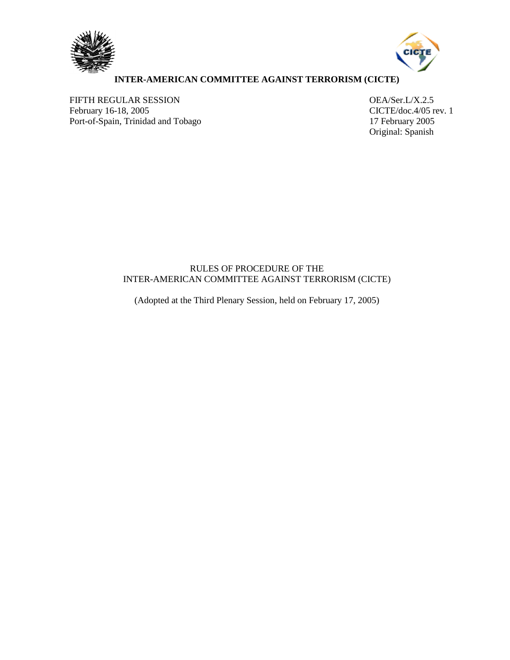



# **INTER-AMERICAN COMMITTEE AGAINST TERRORISM (CICTE)**

FIFTH REGULAR SESSION OEA/Ser.L/X.2.5 February 16-18, 2005<br>
Port-of-Spain, Trinidad and Tobago<br>
17 February 2005<br>
17 February 2005 Port-of-Spain, Trinidad and Tobago

Original: Spanish

# RULES OF PROCEDURE OF THE INTER-AMERICAN COMMITTEE AGAINST TERRORISM (CICTE)

(Adopted at the Third Plenary Session, held on February 17, 2005)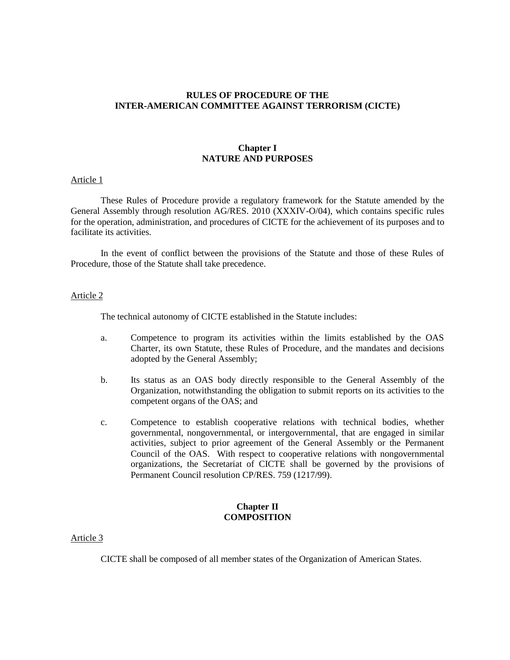# **RULES OF PROCEDURE OF THE INTER-AMERICAN COMMITTEE AGAINST TERRORISM (CICTE)**

# **Chapter I NATURE AND PURPOSES**

# Article 1

These Rules of Procedure provide a regulatory framework for the Statute amended by the General Assembly through resolution AG/RES. 2010 (XXXIV-O/04), which contains specific rules for the operation, administration, and procedures of CICTE for the achievement of its purposes and to facilitate its activities.

In the event of conflict between the provisions of the Statute and those of these Rules of Procedure, those of the Statute shall take precedence.

#### Article 2

The technical autonomy of CICTE established in the Statute includes:

- a. Competence to program its activities within the limits established by the OAS Charter, its own Statute, these Rules of Procedure, and the mandates and decisions adopted by the General Assembly;
- b. Its status as an OAS body directly responsible to the General Assembly of the Organization, notwithstanding the obligation to submit reports on its activities to the competent organs of the OAS; and
- c. Competence to establish cooperative relations with technical bodies, whether governmental, nongovernmental, or intergovernmental, that are engaged in similar activities, subject to prior agreement of the General Assembly or the Permanent Council of the OAS. With respect to cooperative relations with nongovernmental organizations, the Secretariat of CICTE shall be governed by the provisions of Permanent Council resolution CP/RES. 759 (1217/99).

# **Chapter II COMPOSITION**

# Article 3

CICTE shall be composed of all member states of the Organization of American States.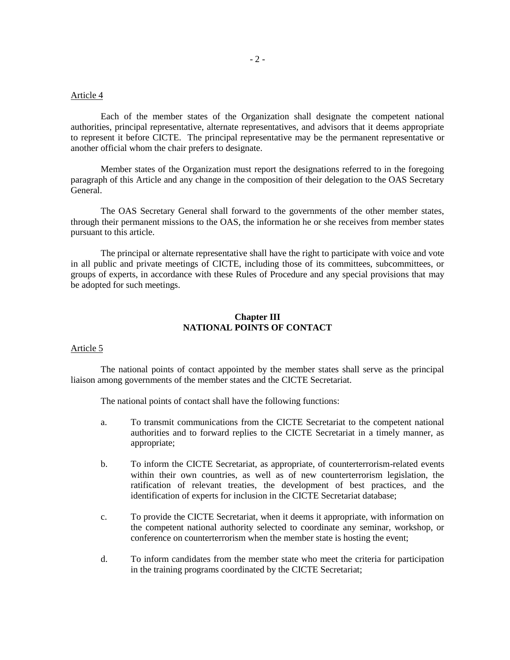### Article 4

Each of the member states of the Organization shall designate the competent national authorities, principal representative, alternate representatives, and advisors that it deems appropriate to represent it before CICTE. The principal representative may be the permanent representative or another official whom the chair prefers to designate.

Member states of the Organization must report the designations referred to in the foregoing paragraph of this Article and any change in the composition of their delegation to the OAS Secretary General.

The OAS Secretary General shall forward to the governments of the other member states, through their permanent missions to the OAS, the information he or she receives from member states pursuant to this article.

The principal or alternate representative shall have the right to participate with voice and vote in all public and private meetings of CICTE, including those of its committees, subcommittees, or groups of experts, in accordance with these Rules of Procedure and any special provisions that may be adopted for such meetings.

# **Chapter III NATIONAL POINTS OF CONTACT**

# Article 5

The national points of contact appointed by the member states shall serve as the principal liaison among governments of the member states and the CICTE Secretariat.

The national points of contact shall have the following functions:

- a. To transmit communications from the CICTE Secretariat to the competent national authorities and to forward replies to the CICTE Secretariat in a timely manner, as appropriate;
- b. To inform the CICTE Secretariat, as appropriate, of counterterrorism-related events within their own countries, as well as of new counterterrorism legislation, the ratification of relevant treaties, the development of best practices, and the identification of experts for inclusion in the CICTE Secretariat database;
- c. To provide the CICTE Secretariat, when it deems it appropriate, with information on the competent national authority selected to coordinate any seminar, workshop, or conference on counterterrorism when the member state is hosting the event;
- d. To inform candidates from the member state who meet the criteria for participation in the training programs coordinated by the CICTE Secretariat;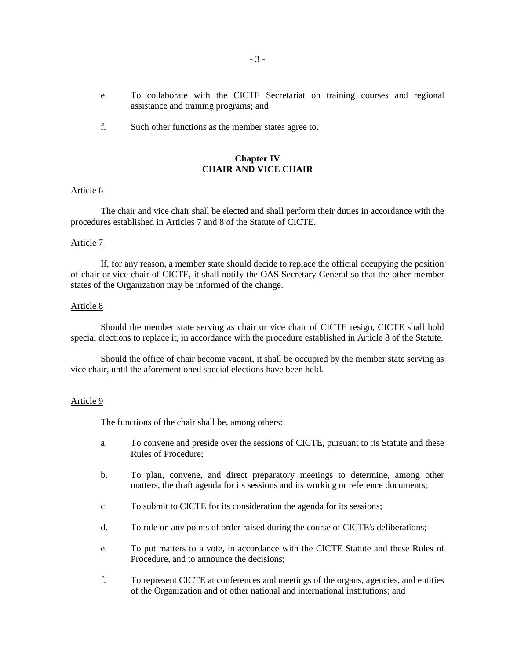- e. To collaborate with the CICTE Secretariat on training courses and regional assistance and training programs; and
- f. Such other functions as the member states agree to.

# **Chapter IV CHAIR AND VICE CHAIR**

### Article 6

The chair and vice chair shall be elected and shall perform their duties in accordance with the procedures established in Articles 7 and 8 of the Statute of CICTE.

#### Article 7

If, for any reason, a member state should decide to replace the official occupying the position of chair or vice chair of CICTE, it shall notify the OAS Secretary General so that the other member states of the Organization may be informed of the change.

### Article 8

Should the member state serving as chair or vice chair of CICTE resign, CICTE shall hold special elections to replace it, in accordance with the procedure established in Article 8 of the Statute.

Should the office of chair become vacant, it shall be occupied by the member state serving as vice chair, until the aforementioned special elections have been held.

#### Article 9

The functions of the chair shall be, among others:

- a. To convene and preside over the sessions of CICTE, pursuant to its Statute and these Rules of Procedure;
- b. To plan, convene, and direct preparatory meetings to determine, among other matters, the draft agenda for its sessions and its working or reference documents;
- c. To submit to CICTE for its consideration the agenda for its sessions;
- d. To rule on any points of order raised during the course of CICTE's deliberations;
- e. To put matters to a vote, in accordance with the CICTE Statute and these Rules of Procedure, and to announce the decisions;
- f. To represent CICTE at conferences and meetings of the organs, agencies, and entities of the Organization and of other national and international institutions; and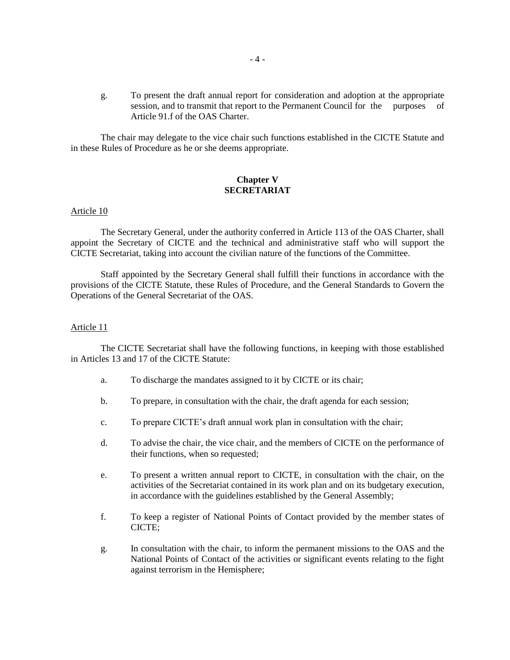g. To present the draft annual report for consideration and adoption at the appropriate session, and to transmit that report to the Permanent Council for the purposes of Article 91.f of the OAS Charter.

The chair may delegate to the vice chair such functions established in the CICTE Statute and in these Rules of Procedure as he or she deems appropriate.

## **Chapter V SECRETARIAT**

### Article 10

The Secretary General, under the authority conferred in Article 113 of the OAS Charter, shall appoint the Secretary of CICTE and the technical and administrative staff who will support the CICTE Secretariat, taking into account the civilian nature of the functions of the Committee.

Staff appointed by the Secretary General shall fulfill their functions in accordance with the provisions of the CICTE Statute, these Rules of Procedure, and the General Standards to Govern the Operations of the General Secretariat of the OAS.

#### Article 11

The CICTE Secretariat shall have the following functions, in keeping with those established in Articles 13 and 17 of the CICTE Statute:

- a. To discharge the mandates assigned to it by CICTE or its chair;
- b. To prepare, in consultation with the chair, the draft agenda for each session;
- c. To prepare CICTE's draft annual work plan in consultation with the chair;
- d. To advise the chair, the vice chair, and the members of CICTE on the performance of their functions, when so requested;
- e. To present a written annual report to CICTE, in consultation with the chair, on the activities of the Secretariat contained in its work plan and on its budgetary execution, in accordance with the guidelines established by the General Assembly;
- f. To keep a register of National Points of Contact provided by the member states of CICTE;
- g. In consultation with the chair, to inform the permanent missions to the OAS and the National Points of Contact of the activities or significant events relating to the fight against terrorism in the Hemisphere;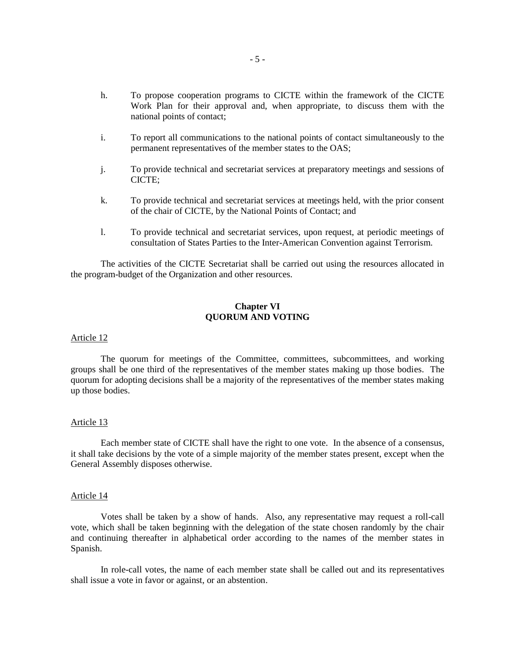- h. To propose cooperation programs to CICTE within the framework of the CICTE Work Plan for their approval and, when appropriate, to discuss them with the national points of contact;
- i. To report all communications to the national points of contact simultaneously to the permanent representatives of the member states to the OAS;
- j. To provide technical and secretariat services at preparatory meetings and sessions of CICTE;
- k. To provide technical and secretariat services at meetings held, with the prior consent of the chair of CICTE, by the National Points of Contact; and
- l. To provide technical and secretariat services, upon request, at periodic meetings of consultation of States Parties to the Inter-American Convention against Terrorism.

The activities of the CICTE Secretariat shall be carried out using the resources allocated in the program-budget of the Organization and other resources.

# **Chapter VI QUORUM AND VOTING**

#### Article 12

The quorum for meetings of the Committee, committees, subcommittees, and working groups shall be one third of the representatives of the member states making up those bodies. The quorum for adopting decisions shall be a majority of the representatives of the member states making up those bodies.

#### Article 13

Each member state of CICTE shall have the right to one vote. In the absence of a consensus, it shall take decisions by the vote of a simple majority of the member states present, except when the General Assembly disposes otherwise.

#### Article 14

Votes shall be taken by a show of hands. Also, any representative may request a roll-call vote, which shall be taken beginning with the delegation of the state chosen randomly by the chair and continuing thereafter in alphabetical order according to the names of the member states in Spanish.

In role-call votes, the name of each member state shall be called out and its representatives shall issue a vote in favor or against, or an abstention.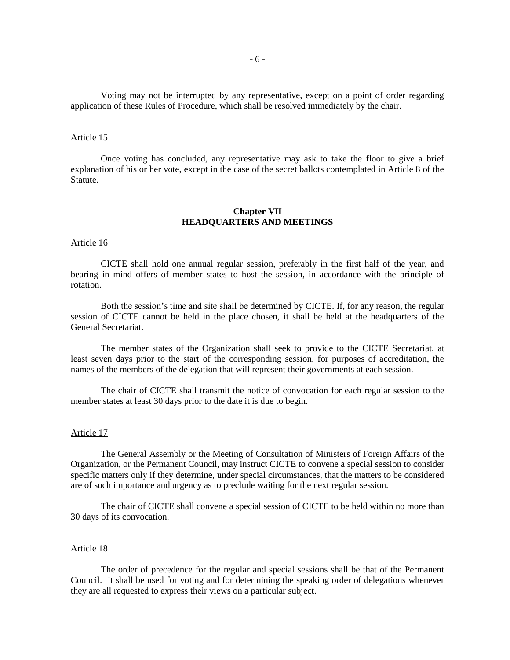Voting may not be interrupted by any representative, except on a point of order regarding application of these Rules of Procedure, which shall be resolved immediately by the chair.

# Article 15

Once voting has concluded, any representative may ask to take the floor to give a brief explanation of his or her vote, except in the case of the secret ballots contemplated in Article 8 of the Statute.

# **Chapter VII HEADQUARTERS AND MEETINGS**

#### Article 16

CICTE shall hold one annual regular session, preferably in the first half of the year, and bearing in mind offers of member states to host the session, in accordance with the principle of rotation.

Both the session's time and site shall be determined by CICTE. If, for any reason, the regular session of CICTE cannot be held in the place chosen, it shall be held at the headquarters of the General Secretariat.

The member states of the Organization shall seek to provide to the CICTE Secretariat, at least seven days prior to the start of the corresponding session, for purposes of accreditation, the names of the members of the delegation that will represent their governments at each session.

The chair of CICTE shall transmit the notice of convocation for each regular session to the member states at least 30 days prior to the date it is due to begin.

#### Article 17

The General Assembly or the Meeting of Consultation of Ministers of Foreign Affairs of the Organization, or the Permanent Council, may instruct CICTE to convene a special session to consider specific matters only if they determine, under special circumstances, that the matters to be considered are of such importance and urgency as to preclude waiting for the next regular session.

The chair of CICTE shall convene a special session of CICTE to be held within no more than 30 days of its convocation.

### Article 18

The order of precedence for the regular and special sessions shall be that of the Permanent Council. It shall be used for voting and for determining the speaking order of delegations whenever they are all requested to express their views on a particular subject.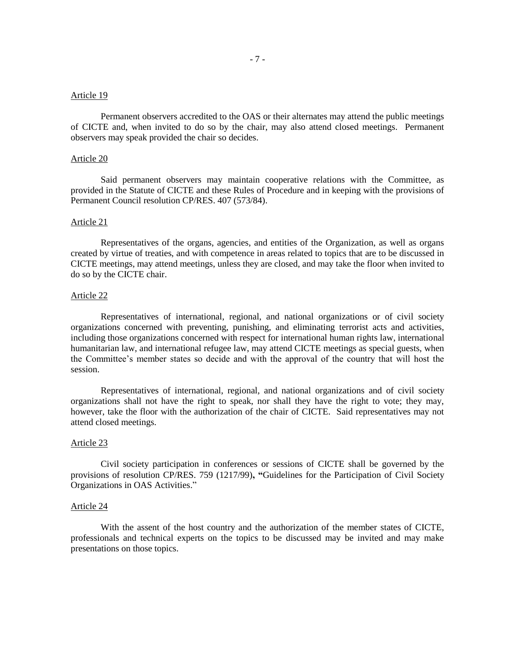#### Article 19

Permanent observers accredited to the OAS or their alternates may attend the public meetings of CICTE and, when invited to do so by the chair, may also attend closed meetings. Permanent observers may speak provided the chair so decides.

#### Article 20

Said permanent observers may maintain cooperative relations with the Committee, as provided in the Statute of CICTE and these Rules of Procedure and in keeping with the provisions of Permanent Council resolution CP/RES. 407 (573/84).

#### Article 21

Representatives of the organs, agencies, and entities of the Organization, as well as organs created by virtue of treaties, and with competence in areas related to topics that are to be discussed in CICTE meetings, may attend meetings, unless they are closed, and may take the floor when invited to do so by the CICTE chair.

#### Article 22

Representatives of international, regional, and national organizations or of civil society organizations concerned with preventing, punishing, and eliminating terrorist acts and activities, including those organizations concerned with respect for international human rights law, international humanitarian law, and international refugee law, may attend CICTE meetings as special guests, when the Committee's member states so decide and with the approval of the country that will host the session.

Representatives of international, regional, and national organizations and of civil society organizations shall not have the right to speak, nor shall they have the right to vote; they may, however, take the floor with the authorization of the chair of CICTE. Said representatives may not attend closed meetings.

#### Article 23

Civil society participation in conferences or sessions of CICTE shall be governed by the provisions of resolution CP/RES. 759 (1217/99)**, "**Guidelines for the Participation of Civil Society Organizations in OAS Activities."

#### Article 24

With the assent of the host country and the authorization of the member states of CICTE, professionals and technical experts on the topics to be discussed may be invited and may make presentations on those topics.